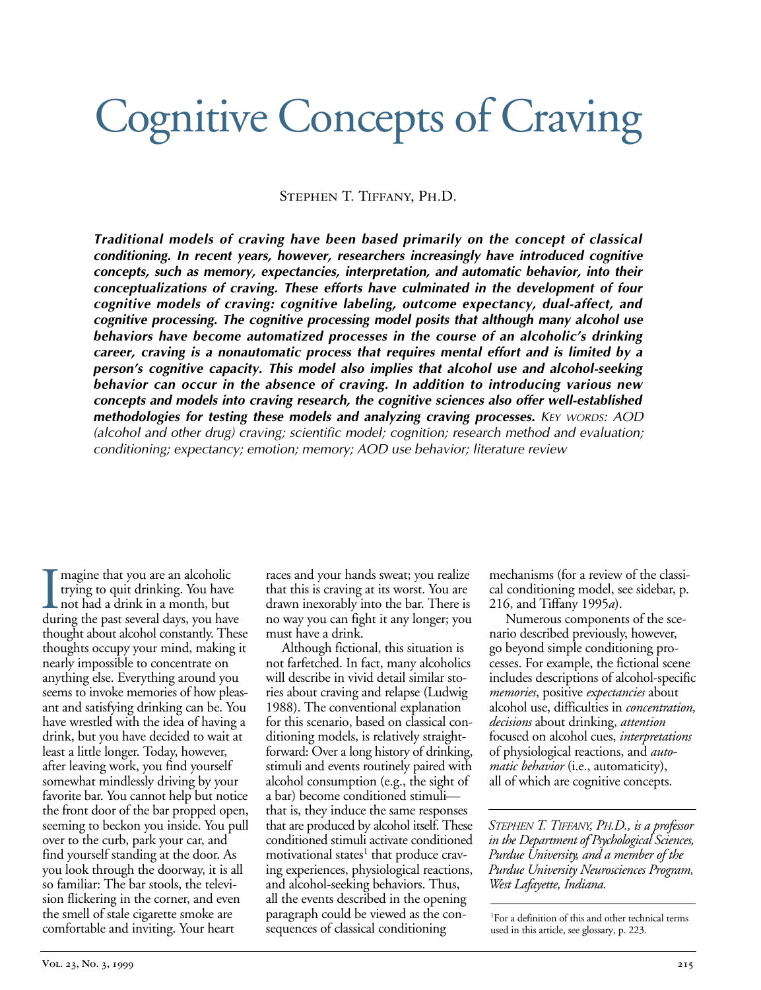# Cognitive Concepts of Craving

Stephen T. Tiffany, Ph.D.

*Traditional models of craving have been based primarily on the concept of classical conditioning. In recent years, however, researchers increasingly have introduced cognitive concepts, such as memory, expectancies, interpretation, and automatic behavior, into their conceptualizations of craving. These efforts have culminated in the development of four cognitive models of craving: cognitive labeling, outcome expectancy, dual-affect, and cognitive processing. The cognitive processing model posits that although many alcohol use behaviors have become automatized processes in the course of an alcoholic's drinking career, craving is a nonautomatic process that requires mental effort and is limited by a person's cognitive capacity. This model also implies that alcohol use and alcohol-seeking behavior can occur in the absence of craving. In addition to introducing various new concepts and models into craving research, the cognitive sciences also offer well-established methodologies for testing these models and analyzing craving processes. KEY WORDS: AOD (alcohol and other drug) craving; scientific model; cognition; research method and evaluation; conditioning; expectancy; emotion; memory; AOD use behavior; literature review*

I magine that you are an alcoholic<br>trying to quit drinking. You have<br>not had a drink in a month, but<br>during the past several days, you have magine that you are an alcoholic trying to quit drinking. You have not had a drink in a month, but thought about alcohol constantly. These thoughts occupy your mind, making it nearly impossible to concentrate on anything else. Everything around you seems to invoke memories of how pleasant and satisfying drinking can be. You have wrestled with the idea of having a drink, but you have decided to wait at least a little longer. Today, however, after leaving work, you find yourself somewhat mindlessly driving by your favorite bar. You cannot help but notice the front door of the bar propped open, seeming to beckon you inside. You pull over to the curb, park your car, and find yourself standing at the door. As you look through the doorway, it is all so familiar: The bar stools, the television flickering in the corner, and even the smell of stale cigarette smoke are comfortable and inviting. Your heart

races and your hands sweat; you realize that this is craving at its worst. You are drawn inexorably into the bar. There is no way you can fight it any longer; you must have a drink.

Although fictional, this situation is not farfetched. In fact, many alcoholics will describe in vivid detail similar stories about craving and relapse (Ludwig 1988). The conventional explanation for this scenario, based on classical conditioning models, is relatively straightforward: Over a long history of drinking, stimuli and events routinely paired with alcohol consumption (e.g., the sight of a bar) become conditioned stimuli that is, they induce the same responses that are produced by alcohol itself. These conditioned stimuli activate conditioned motivational states<sup>1</sup> that produce craving experiences, physiological reactions, and alcohol-seeking behaviors. Thus, all the events described in the opening paragraph could be viewed as the consequences of classical conditioning

mechanisms (for a review of the classical conditioning model, see sidebar, p. 216, and Tiffany 1995*a*).

Numerous components of the scenario described previously, however, go beyond simple conditioning processes. For example, the fictional scene includes descriptions of alcohol-specific *memories*, positive *expectancies* about alcohol use, difficulties in *concentration, decisions* about drinking, *attention* focused on alcohol cues, *interpretations* of physiological reactions, and *automatic behavior* (i.e., automaticity), all of which are cognitive concepts.

*STEPHEN T. TIFFANY, PH.D., is a professor in the Department of Psychological Sciences, Purdue University, and a member of the Purdue University Neurosciences Program, West Lafayette, Indiana.*

1 For a definition of this and other technical terms used in this article, see glossary, p. 223.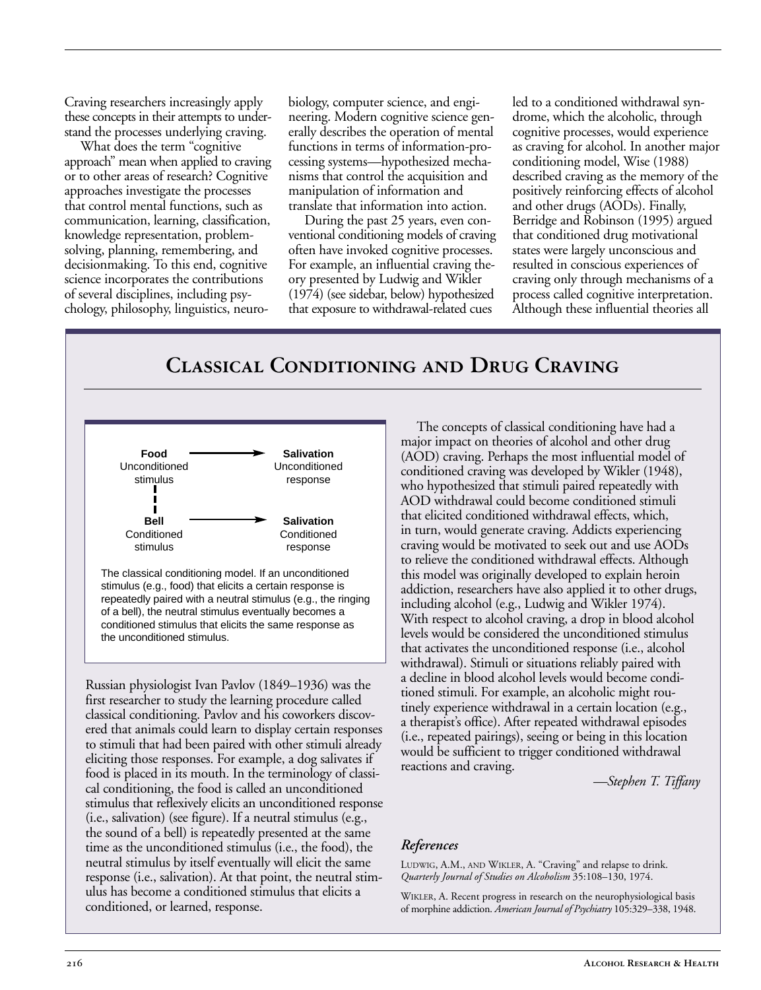Craving researchers increasingly apply these concepts in their attempts to understand the processes underlying craving.

What does the term "cognitive approach" mean when applied to craving or to other areas of research? Cognitive approaches investigate the processes that control mental functions, such as communication, learning, classification, knowledge representation, problemsolving, planning, remembering, and decisionmaking. To this end, cognitive science incorporates the contributions of several disciplines, including psychology, philosophy, linguistics, neurobiology, computer science, and engineering. Modern cognitive science generally describes the operation of mental functions in terms of information-processing systems—hypothesized mechanisms that control the acquisition and manipulation of information and translate that information into action.

During the past 25 years, even conventional conditioning models of craving often have invoked cognitive processes. For example, an influential craving theory presented by Ludwig and Wikler (1974) (see sidebar, below) hypothesized that exposure to withdrawal-related cues

led to a conditioned withdrawal syndrome, which the alcoholic, through cognitive processes, would experience as craving for alcohol. In another major conditioning model, Wise (1988) described craving as the memory of the positively reinforcing effects of alcohol and other drugs (AODs). Finally, Berridge and Robinson (1995) argued that conditioned drug motivational states were largely unconscious and resulted in conscious experiences of craving only through mechanisms of a process called cognitive interpretation. Although these influential theories all

# **Classical Conditioning and Drug Craving**



stimulus (e.g., food) that elicits a certain response is repeatedly paired with a neutral stimulus (e.g., the ringing of a bell), the neutral stimulus eventually becomes a conditioned stimulus that elicits the same response as the unconditioned stimulus.

Russian physiologist Ivan Pavlov (1849–1936) was the first researcher to study the learning procedure called classical conditioning. Pavlov and his coworkers discovered that animals could learn to display certain responses to stimuli that had been paired with other stimuli already eliciting those responses. For example, a dog salivates if food is placed in its mouth. In the terminology of classical conditioning, the food is called an unconditioned stimulus that reflexively elicits an unconditioned response (i.e., salivation) (see figure). If a neutral stimulus (e.g., the sound of a bell) is repeatedly presented at the same time as the unconditioned stimulus (i.e., the food), the neutral stimulus by itself eventually will elicit the same response (i.e., salivation). At that point, the neutral stimulus has become a conditioned stimulus that elicits a conditioned, or learned, response.

The concepts of classical conditioning have had a major impact on theories of alcohol and other drug (AOD) craving. Perhaps the most influential model of conditioned craving was developed by Wikler (1948), who hypothesized that stimuli paired repeatedly with AOD withdrawal could become conditioned stimuli that elicited conditioned withdrawal effects, which, in turn, would generate craving. Addicts experiencing craving would be motivated to seek out and use AODs to relieve the conditioned withdrawal effects. Although this model was originally developed to explain heroin addiction, researchers have also applied it to other drugs, including alcohol (e.g., Ludwig and Wikler 1974). With respect to alcohol craving, a drop in blood alcohol levels would be considered the unconditioned stimulus that activates the unconditioned response (i.e., alcohol withdrawal). Stimuli or situations reliably paired with a decline in blood alcohol levels would become conditioned stimuli. For example, an alcoholic might routinely experience withdrawal in a certain location (e.g., a therapist's office). After repeated withdrawal episodes (i.e., repeated pairings), seeing or being in this location would be sufficient to trigger conditioned withdrawal reactions and craving.

*—Stephen T. Tiffany*

#### *References*

LUDWIG, A.M., AND WIKLER, A. "Craving" and relapse to drink. *Quarterly Journal of Studies on Alcoholism* 35:108–130, 1974.

WIKLER, A. Recent progress in research on the neurophysiological basis of morphine addiction. *American Journal of Psychiatry* 105:329–338, 1948.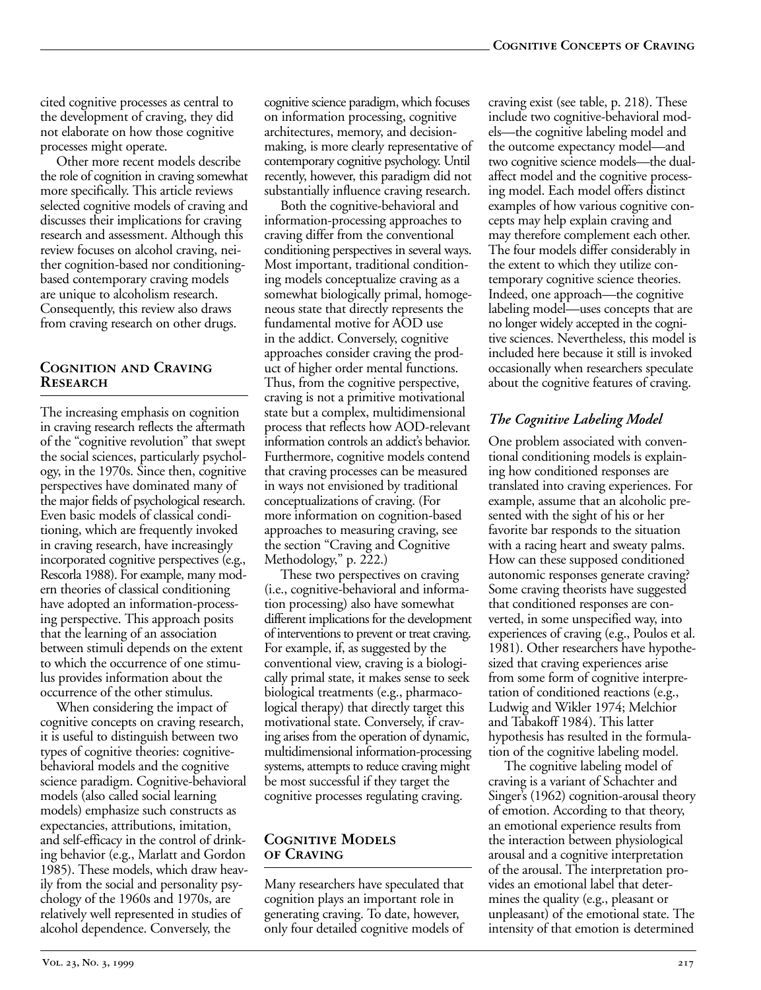cited cognitive processes as central to the development of craving, they did not elaborate on how those cognitive processes might operate.

Other more recent models describe the role of cognition in craving somewhat more specifically. This article reviews selected cognitive models of craving and discusses their implications for craving research and assessment. Although this review focuses on alcohol craving, neither cognition-based nor conditioningbased contemporary craving models are unique to alcoholism research. Consequently, this review also draws from craving research on other drugs.

#### **Cognition and Craving Research**

The increasing emphasis on cognition in craving research reflects the aftermath of the "cognitive revolution" that swept the social sciences, particularly psychology, in the 1970s. Since then, cognitive perspectives have dominated many of the major fields of psychological research. Even basic models of classical conditioning, which are frequently invoked in craving research, have increasingly incorporated cognitive perspectives (e.g., Rescorla 1988). For example, many modern theories of classical conditioning have adopted an information-processing perspective. This approach posits that the learning of an association between stimuli depends on the extent to which the occurrence of one stimulus provides information about the occurrence of the other stimulus.

When considering the impact of cognitive concepts on craving research, it is useful to distinguish between two types of cognitive theories: cognitivebehavioral models and the cognitive science paradigm. Cognitive-behavioral models (also called social learning models) emphasize such constructs as expectancies, attributions, imitation, and self-efficacy in the control of drinking behavior (e.g., Marlatt and Gordon 1985). These models, which draw heavily from the social and personality psychology of the 1960s and 1970s, are relatively well represented in studies of alcohol dependence. Conversely, the

cognitive science paradigm, which focuses on information processing, cognitive architectures, memory, and decisionmaking, is more clearly representative of contemporary cognitive psychology. Until recently, however, this paradigm did not substantially influence craving research.

Both the cognitive-behavioral and information-processing approaches to craving differ from the conventional conditioning perspectives in several ways. Most important, traditional conditioning models conceptualize craving as a somewhat biologically primal, homogeneous state that directly represents the fundamental motive for AOD use in the addict. Conversely, cognitive approaches consider craving the product of higher order mental functions. Thus, from the cognitive perspective, craving is not a primitive motivational state but a complex, multidimensional process that reflects how AOD-relevant information controls an addict's behavior. Furthermore, cognitive models contend that craving processes can be measured in ways not envisioned by traditional conceptualizations of craving. (For more information on cognition-based approaches to measuring craving, see the section "Craving and Cognitive Methodology," p. 222.)

These two perspectives on craving (i.e., cognitive-behavioral and information processing) also have somewhat different implications for the development of interventions to prevent or treat craving. For example, if, as suggested by the conventional view, craving is a biologically primal state, it makes sense to seek biological treatments (e.g., pharmacological therapy) that directly target this motivational state. Conversely, if craving arises from the operation of dynamic, multidimensional information-processing systems, attempts to reduce craving might be most successful if they target the cognitive processes regulating craving.

#### **Cognitive Models of Craving**

Many researchers have speculated that cognition plays an important role in generating craving. To date, however, only four detailed cognitive models of

craving exist (see table, p. 218). These include two cognitive-behavioral models—the cognitive labeling model and the outcome expectancy model—and two cognitive science models—the dualaffect model and the cognitive processing model. Each model offers distinct examples of how various cognitive concepts may help explain craving and may therefore complement each other. The four models differ considerably in the extent to which they utilize contemporary cognitive science theories. Indeed, one approach—the cognitive labeling model—uses concepts that are no longer widely accepted in the cognitive sciences. Nevertheless, this model is included here because it still is invoked occasionally when researchers speculate about the cognitive features of craving.

## *The Cognitive Labeling Model*

One problem associated with conventional conditioning models is explaining how conditioned responses are translated into craving experiences. For example, assume that an alcoholic presented with the sight of his or her favorite bar responds to the situation with a racing heart and sweaty palms. How can these supposed conditioned autonomic responses generate craving? Some craving theorists have suggested that conditioned responses are converted, in some unspecified way, into experiences of craving (e.g., Poulos et al. 1981). Other researchers have hypothesized that craving experiences arise from some form of cognitive interpretation of conditioned reactions (e.g., Ludwig and Wikler 1974; Melchior and Tabakoff 1984). This latter hypothesis has resulted in the formulation of the cognitive labeling model.

The cognitive labeling model of craving is a variant of Schachter and Singer's (1962) cognition-arousal theory of emotion. According to that theory, an emotional experience results from the interaction between physiological arousal and a cognitive interpretation of the arousal. The interpretation provides an emotional label that determines the quality (e.g., pleasant or unpleasant) of the emotional state. The intensity of that emotion is determined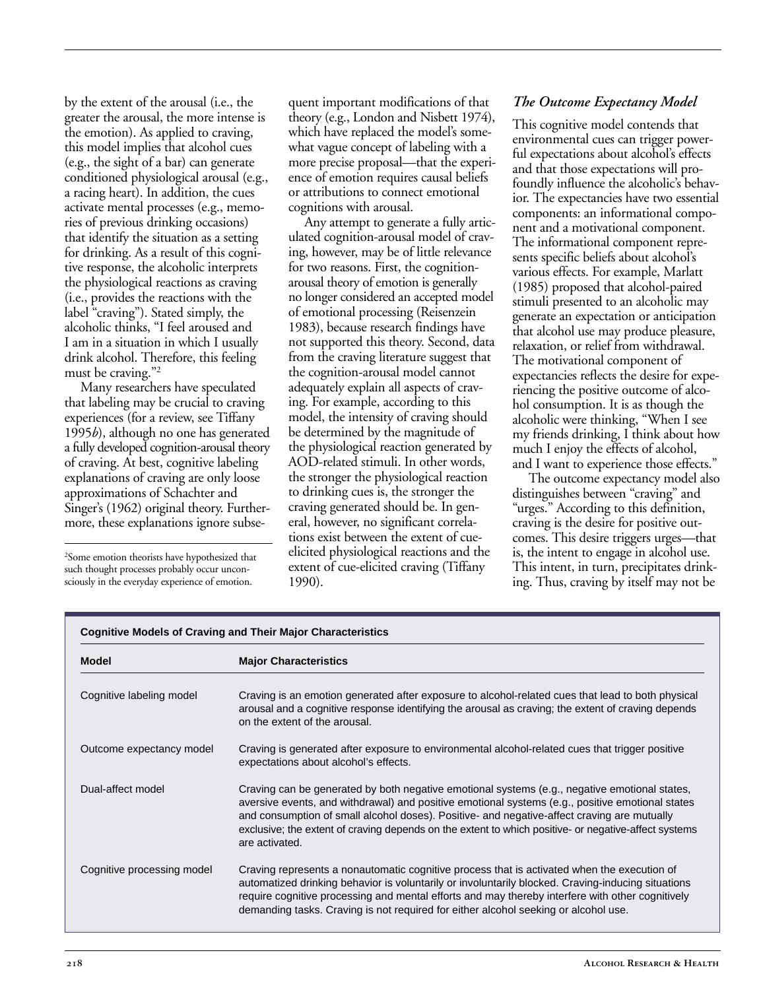by the extent of the arousal (i.e., the greater the arousal, the more intense is the emotion). As applied to craving, this model implies that alcohol cues (e.g., the sight of a bar) can generate conditioned physiological arousal (e.g., a racing heart). In addition, the cues activate mental processes (e.g., memories of previous drinking occasions) that identify the situation as a setting for drinking. As a result of this cognitive response, the alcoholic interprets the physiological reactions as craving (i.e., provides the reactions with the label "craving"). Stated simply, the alcoholic thinks, "I feel aroused and I am in a situation in which I usually drink alcohol. Therefore, this feeling must be craving."2

Many researchers have speculated that labeling may be crucial to craving experiences (for a review, see Tiffany 1995*b*), although no one has generated a fully developed cognition-arousal theory of craving. At best, cognitive labeling explanations of craving are only loose approximations of Schachter and Singer's (1962) original theory. Furthermore, these explanations ignore subse-

2 Some emotion theorists have hypothesized that such thought processes probably occur unconsciously in the everyday experience of emotion.

quent important modifications of that theory (e.g., London and Nisbett 1974), which have replaced the model's somewhat vague concept of labeling with a more precise proposal—that the experience of emotion requires causal beliefs or attributions to connect emotional cognitions with arousal.

Any attempt to generate a fully articulated cognition-arousal model of craving, however, may be of little relevance for two reasons. First, the cognitionarousal theory of emotion is generally no longer considered an accepted model of emotional processing (Reisenzein 1983), because research findings have not supported this theory. Second, data from the craving literature suggest that the cognition-arousal model cannot adequately explain all aspects of craving. For example, according to this model, the intensity of craving should be determined by the magnitude of the physiological reaction generated by AOD-related stimuli. In other words, the stronger the physiological reaction to drinking cues is, the stronger the craving generated should be. In general, however, no significant correlations exist between the extent of cueelicited physiological reactions and the extent of cue-elicited craving (Tiffany 1990).

### *The Outcome Expectancy Model*

This cognitive model contends that environmental cues can trigger powerful expectations about alcohol's effects and that those expectations will profoundly influence the alcoholic's behavior. The expectancies have two essential components: an informational component and a motivational component. The informational component represents specific beliefs about alcohol's various effects. For example, Marlatt (1985) proposed that alcohol-paired stimuli presented to an alcoholic may generate an expectation or anticipation that alcohol use may produce pleasure, relaxation, or relief from withdrawal. The motivational component of expectancies reflects the desire for experiencing the positive outcome of alcohol consumption. It is as though the alcoholic were thinking, "When I see my friends drinking, I think about how much I enjoy the effects of alcohol, and I want to experience those effects."

The outcome expectancy model also distinguishes between "craving" and "urges." According to this definition, craving is the desire for positive outcomes. This desire triggers urges—that is, the intent to engage in alcohol use. This intent, in turn, precipitates drinking. Thus, craving by itself may not be

| <b>Cognitive Models of Craving and Their Major Characteristics</b> |                                                                                                                                                                                                                                                                                                                                                                                                                            |
|--------------------------------------------------------------------|----------------------------------------------------------------------------------------------------------------------------------------------------------------------------------------------------------------------------------------------------------------------------------------------------------------------------------------------------------------------------------------------------------------------------|
| <b>Model</b>                                                       | <b>Major Characteristics</b>                                                                                                                                                                                                                                                                                                                                                                                               |
| Cognitive labeling model                                           | Craving is an emotion generated after exposure to alcohol-related cues that lead to both physical<br>arousal and a cognitive response identifying the arousal as craving; the extent of craving depends<br>on the extent of the arousal.                                                                                                                                                                                   |
| Outcome expectancy model                                           | Craving is generated after exposure to environmental alcohol-related cues that trigger positive<br>expectations about alcohol's effects.                                                                                                                                                                                                                                                                                   |
| Dual-affect model                                                  | Craving can be generated by both negative emotional systems (e.g., negative emotional states,<br>aversive events, and withdrawal) and positive emotional systems (e.g., positive emotional states<br>and consumption of small alcohol doses). Positive- and negative-affect craving are mutually<br>exclusive; the extent of craving depends on the extent to which positive- or negative-affect systems<br>are activated. |
| Cognitive processing model                                         | Craving represents a nonautomatic cognitive process that is activated when the execution of<br>automatized drinking behavior is voluntarily or involuntarily blocked. Craving-inducing situations<br>require cognitive processing and mental efforts and may thereby interfere with other cognitively<br>demanding tasks. Craving is not required for either alcohol seeking or alcohol use.                               |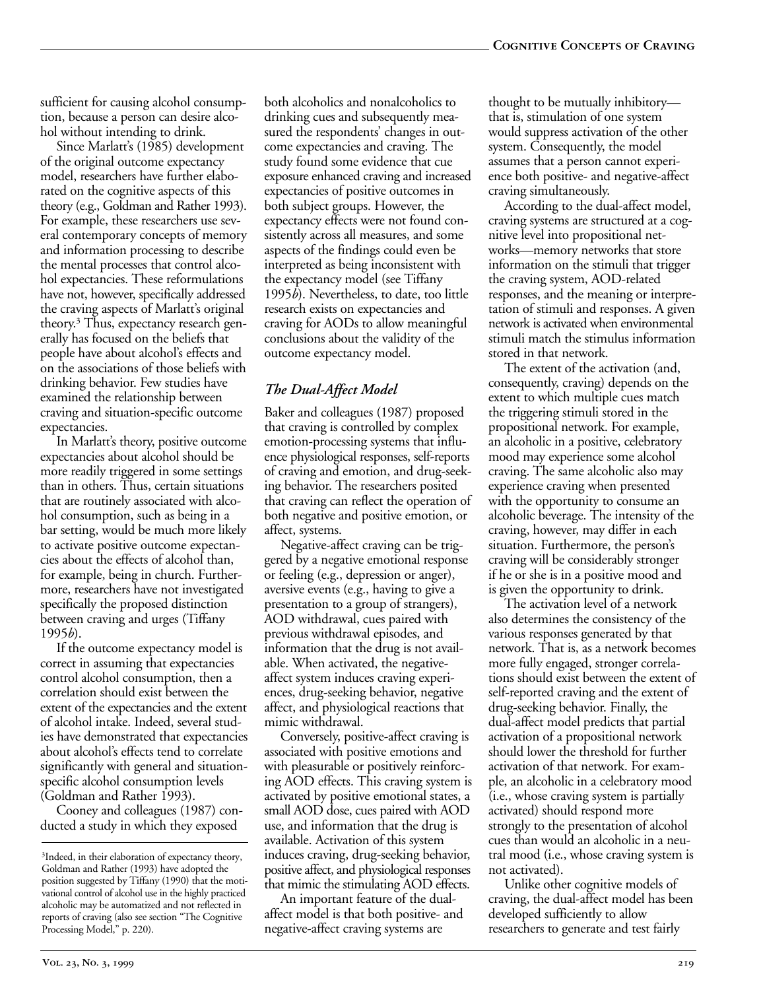sufficient for causing alcohol consumption, because a person can desire alcohol without intending to drink.

Since Marlatt's (1985) development of the original outcome expectancy model, researchers have further elaborated on the cognitive aspects of this theory (e.g., Goldman and Rather 1993). For example, these researchers use several contemporary concepts of memory and information processing to describe the mental processes that control alcohol expectancies. These reformulations have not, however, specifically addressed the craving aspects of Marlatt's original theory.3 Thus, expectancy research generally has focused on the beliefs that people have about alcohol's effects and on the associations of those beliefs with drinking behavior. Few studies have examined the relationship between craving and situation-specific outcome expectancies.

In Marlatt's theory, positive outcome expectancies about alcohol should be more readily triggered in some settings than in others. Thus, certain situations that are routinely associated with alcohol consumption, such as being in a bar setting, would be much more likely to activate positive outcome expectancies about the effects of alcohol than, for example, being in church. Furthermore, researchers have not investigated specifically the proposed distinction between craving and urges (Tiffany 1995*b*).

If the outcome expectancy model is correct in assuming that expectancies control alcohol consumption, then a correlation should exist between the extent of the expectancies and the extent of alcohol intake. Indeed, several studies have demonstrated that expectancies about alcohol's effects tend to correlate significantly with general and situationspecific alcohol consumption levels (Goldman and Rather 1993).

Cooney and colleagues (1987) conducted a study in which they exposed

both alcoholics and nonalcoholics to drinking cues and subsequently measured the respondents' changes in outcome expectancies and craving. The study found some evidence that cue exposure enhanced craving and increased expectancies of positive outcomes in both subject groups. However, the expectancy effects were not found consistently across all measures, and some aspects of the findings could even be interpreted as being inconsistent with the expectancy model (see Tiffany 1995*b*). Nevertheless, to date, too little research exists on expectancies and craving for AODs to allow meaningful conclusions about the validity of the outcome expectancy model.

## *The Dual-Affect Model*

Baker and colleagues (1987) proposed that craving is controlled by complex emotion-processing systems that influence physiological responses, self-reports of craving and emotion, and drug-seeking behavior. The researchers posited that craving can reflect the operation of both negative and positive emotion, or affect, systems.

Negative-affect craving can be triggered by a negative emotional response or feeling (e.g., depression or anger), aversive events (e.g., having to give a presentation to a group of strangers), AOD withdrawal, cues paired with previous withdrawal episodes, and information that the drug is not available. When activated, the negativeaffect system induces craving experiences, drug-seeking behavior, negative affect, and physiological reactions that mimic withdrawal.

Conversely, positive-affect craving is associated with positive emotions and with pleasurable or positively reinforcing AOD effects. This craving system is activated by positive emotional states, a small AOD dose, cues paired with AOD use, and information that the drug is available. Activation of this system induces craving, drug-seeking behavior, positive affect, and physiological responses that mimic the stimulating AOD effects.

An important feature of the dualaffect model is that both positive- and negative-affect craving systems are

thought to be mutually inhibitory that is, stimulation of one system would suppress activation of the other system. Consequently, the model assumes that a person cannot experience both positive- and negative-affect craving simultaneously.

According to the dual-affect model, craving systems are structured at a cognitive level into propositional networks—memory networks that store information on the stimuli that trigger the craving system, AOD-related responses, and the meaning or interpretation of stimuli and responses. A given network is activated when environmental stimuli match the stimulus information stored in that network.

The extent of the activation (and, consequently, craving) depends on the extent to which multiple cues match the triggering stimuli stored in the propositional network. For example, an alcoholic in a positive, celebratory mood may experience some alcohol craving. The same alcoholic also may experience craving when presented with the opportunity to consume an alcoholic beverage. The intensity of the craving, however, may differ in each situation. Furthermore, the person's craving will be considerably stronger if he or she is in a positive mood and is given the opportunity to drink.

The activation level of a network also determines the consistency of the various responses generated by that network. That is, as a network becomes more fully engaged, stronger correlations should exist between the extent of self-reported craving and the extent of drug-seeking behavior. Finally, the dual-affect model predicts that partial activation of a propositional network should lower the threshold for further activation of that network. For example, an alcoholic in a celebratory mood (i.e., whose craving system is partially activated) should respond more strongly to the presentation of alcohol cues than would an alcoholic in a neutral mood (i.e., whose craving system is not activated).

Unlike other cognitive models of craving, the dual-affect model has been developed sufficiently to allow researchers to generate and test fairly

<sup>3</sup> Indeed, in their elaboration of expectancy theory, Goldman and Rather (1993) have adopted the position suggested by Tiffany (1990) that the motivational control of alcohol use in the highly practiced alcoholic may be automatized and not reflected in reports of craving (also see section "The Cognitive Processing Model," p. 220).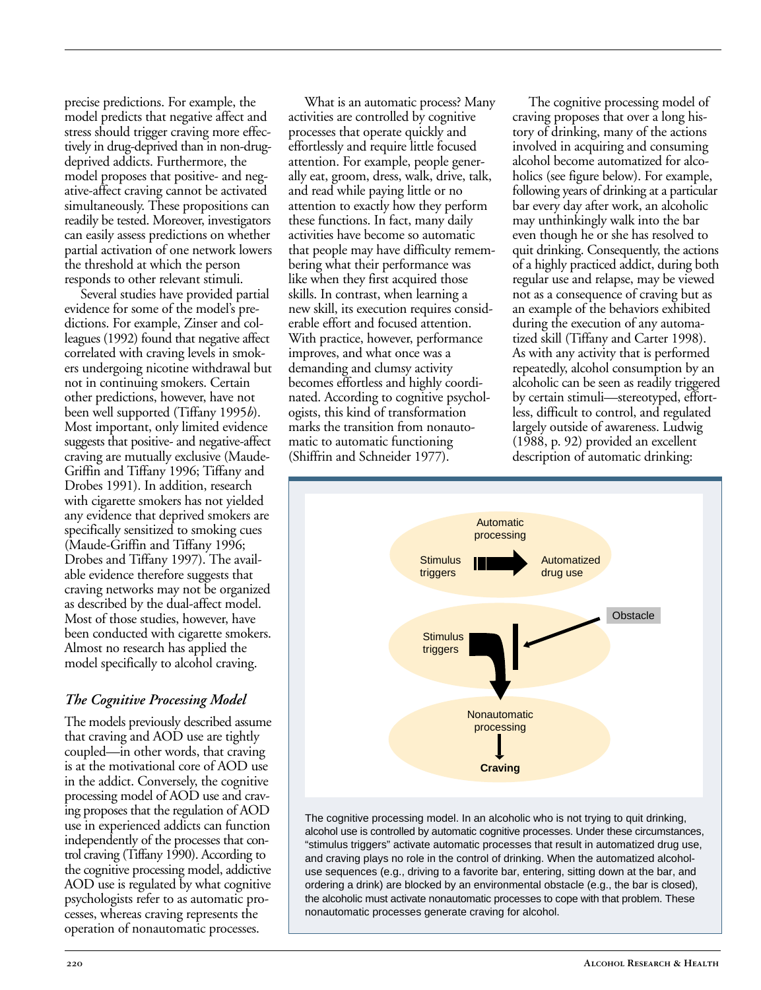precise predictions. For example, the model predicts that negative affect and stress should trigger craving more effectively in drug-deprived than in non-drugdeprived addicts. Furthermore, the model proposes that positive- and negative-affect craving cannot be activated simultaneously. These propositions can readily be tested. Moreover, investigators can easily assess predictions on whether partial activation of one network lowers the threshold at which the person responds to other relevant stimuli.

Several studies have provided partial evidence for some of the model's predictions. For example, Zinser and colleagues (1992) found that negative affect correlated with craving levels in smokers undergoing nicotine withdrawal but not in continuing smokers. Certain other predictions, however, have not been well supported (Tiffany 1995*b*). Most important, only limited evidence suggests that positive- and negative-affect craving are mutually exclusive (Maude-Griffin and Tiffany 1996; Tiffany and Drobes 1991). In addition, research with cigarette smokers has not yielded any evidence that deprived smokers are specifically sensitized to smoking cues (Maude-Griffin and Tiffany 1996; Drobes and Tiffany 1997). The available evidence therefore suggests that craving networks may not be organized as described by the dual-affect model. Most of those studies, however, have been conducted with cigarette smokers. Almost no research has applied the model specifically to alcohol craving.

#### *The Cognitive Processing Model*

The models previously described assume that craving and AOD use are tightly coupled—in other words, that craving is at the motivational core of AOD use in the addict. Conversely, the cognitive processing model of AOD use and craving proposes that the regulation of AOD use in experienced addicts can function independently of the processes that control craving (Tiffany 1990). According to the cognitive processing model, addictive AOD use is regulated by what cognitive psychologists refer to as automatic processes, whereas craving represents the operation of nonautomatic processes.

What is an automatic process? Many activities are controlled by cognitive processes that operate quickly and effortlessly and require little focused attention. For example, people generally eat, groom, dress, walk, drive, talk, and read while paying little or no attention to exactly how they perform these functions. In fact, many daily activities have become so automatic that people may have difficulty remembering what their performance was like when they first acquired those skills. In contrast, when learning a new skill, its execution requires considerable effort and focused attention. With practice, however, performance improves, and what once was a demanding and clumsy activity becomes effortless and highly coordinated. According to cognitive psychologists, this kind of transformation marks the transition from nonautomatic to automatic functioning (Shiffrin and Schneider 1977).

The cognitive processing model of craving proposes that over a long history of drinking, many of the actions involved in acquiring and consuming alcohol become automatized for alcoholics (see figure below). For example, following years of drinking at a particular bar every day after work, an alcoholic may unthinkingly walk into the bar even though he or she has resolved to quit drinking. Consequently, the actions of a highly practiced addict, during both regular use and relapse, may be viewed not as a consequence of craving but as an example of the behaviors exhibited during the execution of any automatized skill (Tiffany and Carter 1998). As with any activity that is performed repeatedly, alcohol consumption by an alcoholic can be seen as readily triggered by certain stimuli—stereotyped, effortless, difficult to control, and regulated largely outside of awareness. Ludwig (1988, p. 92) provided an excellent description of automatic drinking:



The cognitive processing model. In an alcoholic who is not trying to quit drinking, alcohol use is controlled by automatic cognitive processes. Under these circumstances, "stimulus triggers" activate automatic processes that result in automatized drug use, and craving plays no role in the control of drinking. When the automatized alcoholuse sequences (e.g., driving to a favorite bar, entering, sitting down at the bar, and ordering a drink) are blocked by an environmental obstacle (e.g., the bar is closed), the alcoholic must activate nonautomatic processes to cope with that problem. These nonautomatic processes generate craving for alcohol.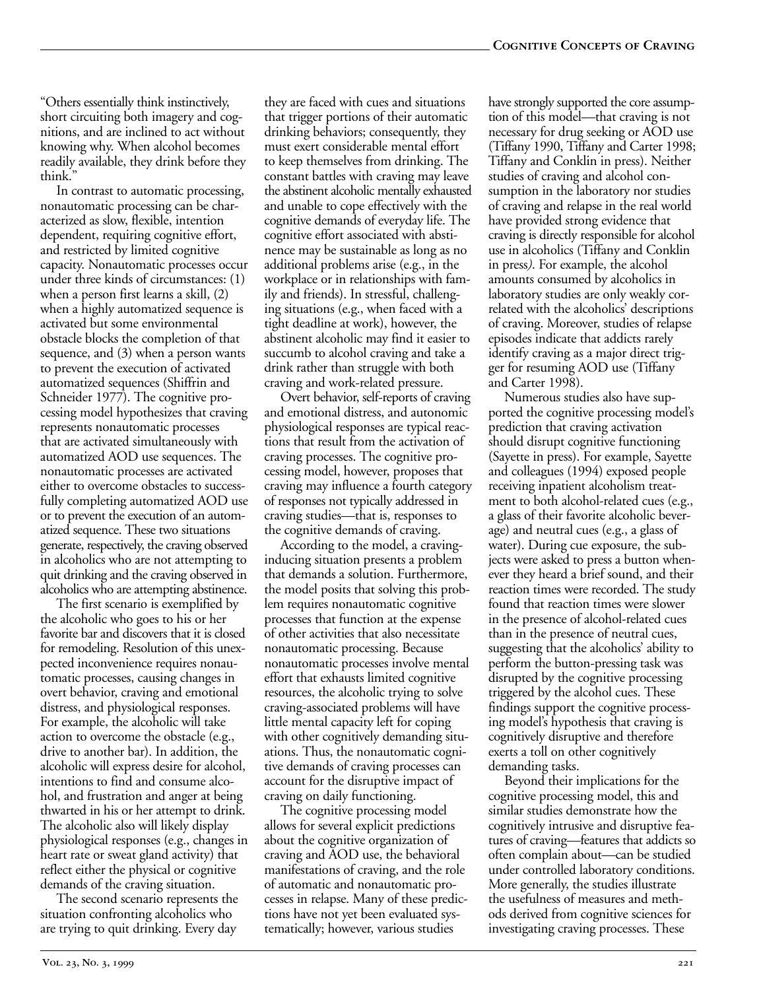"Others essentially think instinctively, short circuiting both imagery and cognitions, and are inclined to act without knowing why. When alcohol becomes readily available, they drink before they think.'

In contrast to automatic processing, nonautomatic processing can be characterized as slow, flexible, intention dependent, requiring cognitive effort, and restricted by limited cognitive capacity. Nonautomatic processes occur under three kinds of circumstances: (1) when a person first learns a skill, (2) when a highly automatized sequence is activated but some environmental obstacle blocks the completion of that sequence, and (3) when a person wants to prevent the execution of activated automatized sequences (Shiffrin and Schneider 1977). The cognitive processing model hypothesizes that craving represents nonautomatic processes that are activated simultaneously with automatized AOD use sequences. The nonautomatic processes are activated either to overcome obstacles to successfully completing automatized AOD use or to prevent the execution of an automatized sequence. These two situations generate, respectively, the craving observed in alcoholics who are not attempting to quit drinking and the craving observed in alcoholics who are attempting abstinence.

The first scenario is exemplified by the alcoholic who goes to his or her favorite bar and discovers that it is closed for remodeling. Resolution of this unexpected inconvenience requires nonautomatic processes, causing changes in overt behavior, craving and emotional distress, and physiological responses. For example, the alcoholic will take action to overcome the obstacle (e.g., drive to another bar). In addition, the alcoholic will express desire for alcohol, intentions to find and consume alcohol, and frustration and anger at being thwarted in his or her attempt to drink. The alcoholic also will likely display physiological responses (e.g., changes in heart rate or sweat gland activity) that reflect either the physical or cognitive demands of the craving situation.

The second scenario represents the situation confronting alcoholics who are trying to quit drinking. Every day

they are faced with cues and situations that trigger portions of their automatic drinking behaviors; consequently, they must exert considerable mental effort to keep themselves from drinking. The constant battles with craving may leave the abstinent alcoholic mentally exhausted and unable to cope effectively with the cognitive demands of everyday life. The cognitive effort associated with abstinence may be sustainable as long as no additional problems arise (e.g., in the workplace or in relationships with family and friends). In stressful, challenging situations (e.g., when faced with a tight deadline at work), however, the abstinent alcoholic may find it easier to succumb to alcohol craving and take a drink rather than struggle with both craving and work-related pressure.

Overt behavior, self-reports of craving and emotional distress, and autonomic physiological responses are typical reactions that result from the activation of craving processes. The cognitive processing model, however, proposes that craving may influence a fourth category of responses not typically addressed in craving studies—that is, responses to the cognitive demands of craving.

According to the model, a cravinginducing situation presents a problem that demands a solution. Furthermore, the model posits that solving this problem requires nonautomatic cognitive processes that function at the expense of other activities that also necessitate nonautomatic processing. Because nonautomatic processes involve mental effort that exhausts limited cognitive resources, the alcoholic trying to solve craving-associated problems will have little mental capacity left for coping with other cognitively demanding situations. Thus, the nonautomatic cognitive demands of craving processes can account for the disruptive impact of craving on daily functioning.

The cognitive processing model allows for several explicit predictions about the cognitive organization of craving and AOD use, the behavioral manifestations of craving, and the role of automatic and nonautomatic processes in relapse. Many of these predictions have not yet been evaluated systematically; however, various studies

have strongly supported the core assumption of this model—that craving is not necessary for drug seeking or AOD use (Tiffany 1990, Tiffany and Carter 1998; Tiffany and Conklin in press). Neither studies of craving and alcohol consumption in the laboratory nor studies of craving and relapse in the real world have provided strong evidence that craving is directly responsible for alcohol use in alcoholics (Tiffany and Conklin in press*)*. For example, the alcohol amounts consumed by alcoholics in laboratory studies are only weakly correlated with the alcoholics' descriptions of craving. Moreover, studies of relapse episodes indicate that addicts rarely identify craving as a major direct trigger for resuming AOD use (Tiffany and Carter 1998).

Numerous studies also have supported the cognitive processing model's prediction that craving activation should disrupt cognitive functioning (Sayette in press). For example, Sayette and colleagues (1994) exposed people receiving inpatient alcoholism treatment to both alcohol-related cues (e.g., a glass of their favorite alcoholic beverage) and neutral cues (e.g., a glass of water). During cue exposure, the subjects were asked to press a button whenever they heard a brief sound, and their reaction times were recorded. The study found that reaction times were slower in the presence of alcohol-related cues than in the presence of neutral cues, suggesting that the alcoholics' ability to perform the button-pressing task was disrupted by the cognitive processing triggered by the alcohol cues. These findings support the cognitive processing model's hypothesis that craving is cognitively disruptive and therefore exerts a toll on other cognitively demanding tasks.

Beyond their implications for the cognitive processing model, this and similar studies demonstrate how the cognitively intrusive and disruptive features of craving—features that addicts so often complain about—can be studied under controlled laboratory conditions. More generally, the studies illustrate the usefulness of measures and methods derived from cognitive sciences for investigating craving processes. These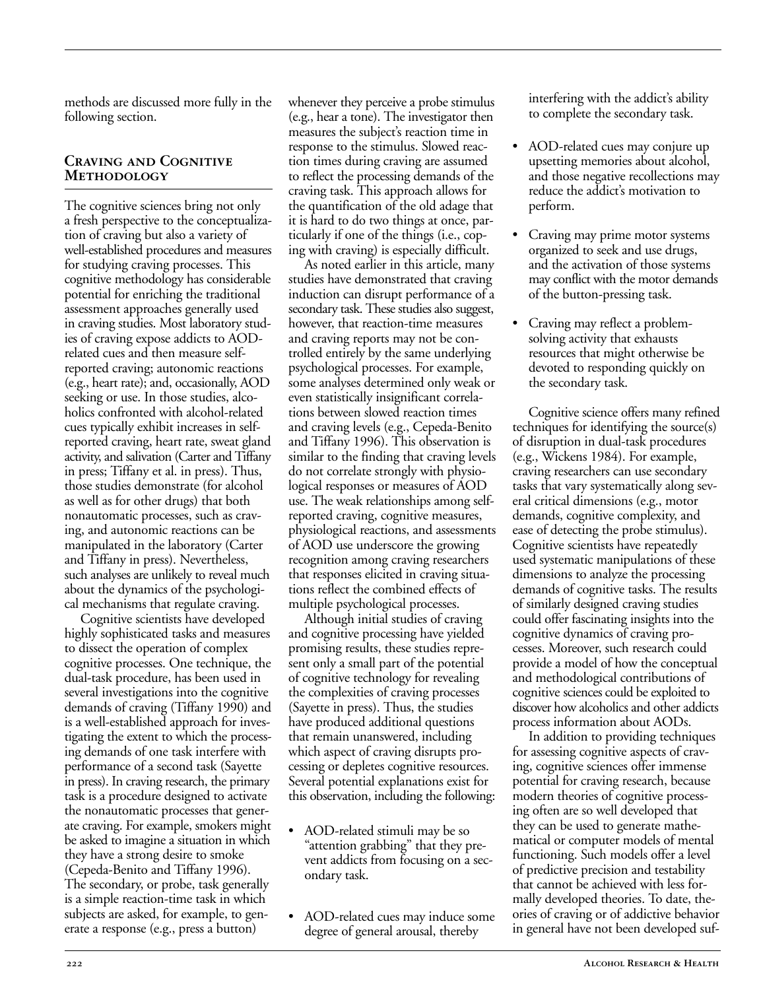methods are discussed more fully in the following section.

#### **Craving and Cognitive Methodology**

The cognitive sciences bring not only a fresh perspective to the conceptualization of craving but also a variety of well-established procedures and measures for studying craving processes. This cognitive methodology has considerable potential for enriching the traditional assessment approaches generally used in craving studies. Most laboratory studies of craving expose addicts to AODrelated cues and then measure selfreported craving; autonomic reactions (e.g., heart rate); and, occasionally, AOD seeking or use. In those studies, alcoholics confronted with alcohol-related cues typically exhibit increases in selfreported craving, heart rate, sweat gland activity, and salivation (Carter and Tiffany in press; Tiffany et al. in press). Thus, those studies demonstrate (for alcohol as well as for other drugs) that both nonautomatic processes, such as craving, and autonomic reactions can be manipulated in the laboratory (Carter and Tiffany in press). Nevertheless, such analyses are unlikely to reveal much about the dynamics of the psychological mechanisms that regulate craving.

Cognitive scientists have developed highly sophisticated tasks and measures to dissect the operation of complex cognitive processes. One technique, the dual-task procedure, has been used in several investigations into the cognitive demands of craving (Tiffany 1990) and is a well-established approach for investigating the extent to which the processing demands of one task interfere with performance of a second task (Sayette in press). In craving research, the primary task is a procedure designed to activate the nonautomatic processes that generate craving. For example, smokers might be asked to imagine a situation in which they have a strong desire to smoke (Cepeda-Benito and Tiffany 1996). The secondary, or probe, task generally is a simple reaction-time task in which subjects are asked, for example, to generate a response (e.g., press a button)

whenever they perceive a probe stimulus (e.g., hear a tone). The investigator then measures the subject's reaction time in response to the stimulus. Slowed reaction times during craving are assumed to reflect the processing demands of the craving task. This approach allows for the quantification of the old adage that it is hard to do two things at once, particularly if one of the things (i.e., coping with craving) is especially difficult.

As noted earlier in this article, many studies have demonstrated that craving induction can disrupt performance of a secondary task. These studies also suggest, however, that reaction-time measures and craving reports may not be controlled entirely by the same underlying psychological processes. For example, some analyses determined only weak or even statistically insignificant correlations between slowed reaction times and craving levels (e.g., Cepeda-Benito and Tiffany 1996). This observation is similar to the finding that craving levels do not correlate strongly with physiological responses or measures of AOD use. The weak relationships among selfreported craving, cognitive measures, physiological reactions, and assessments of AOD use underscore the growing recognition among craving researchers that responses elicited in craving situations reflect the combined effects of multiple psychological processes.

Although initial studies of craving and cognitive processing have yielded promising results, these studies represent only a small part of the potential of cognitive technology for revealing the complexities of craving processes (Sayette in press). Thus, the studies have produced additional questions that remain unanswered, including which aspect of craving disrupts processing or depletes cognitive resources. Several potential explanations exist for this observation, including the following:

- AOD-related stimuli may be so "attention grabbing" that they prevent addicts from focusing on a secondary task.
- AOD-related cues may induce some degree of general arousal, thereby

interfering with the addict's ability to complete the secondary task.

- AOD-related cues may conjure up upsetting memories about alcohol, and those negative recollections may reduce the addict's motivation to perform.
- Craving may prime motor systems organized to seek and use drugs, and the activation of those systems may conflict with the motor demands of the button-pressing task.
- Craving may reflect a problemsolving activity that exhausts resources that might otherwise be devoted to responding quickly on the secondary task.

Cognitive science offers many refined techniques for identifying the source(s) of disruption in dual-task procedures (e.g., Wickens 1984). For example, craving researchers can use secondary tasks that vary systematically along several critical dimensions (e.g., motor demands, cognitive complexity, and ease of detecting the probe stimulus). Cognitive scientists have repeatedly used systematic manipulations of these dimensions to analyze the processing demands of cognitive tasks. The results of similarly designed craving studies could offer fascinating insights into the cognitive dynamics of craving processes. Moreover, such research could provide a model of how the conceptual and methodological contributions of cognitive sciences could be exploited to discover how alcoholics and other addicts process information about AODs.

In addition to providing techniques for assessing cognitive aspects of craving, cognitive sciences offer immense potential for craving research, because modern theories of cognitive processing often are so well developed that they can be used to generate mathematical or computer models of mental functioning. Such models offer a level of predictive precision and testability that cannot be achieved with less formally developed theories. To date, theories of craving or of addictive behavior in general have not been developed suf-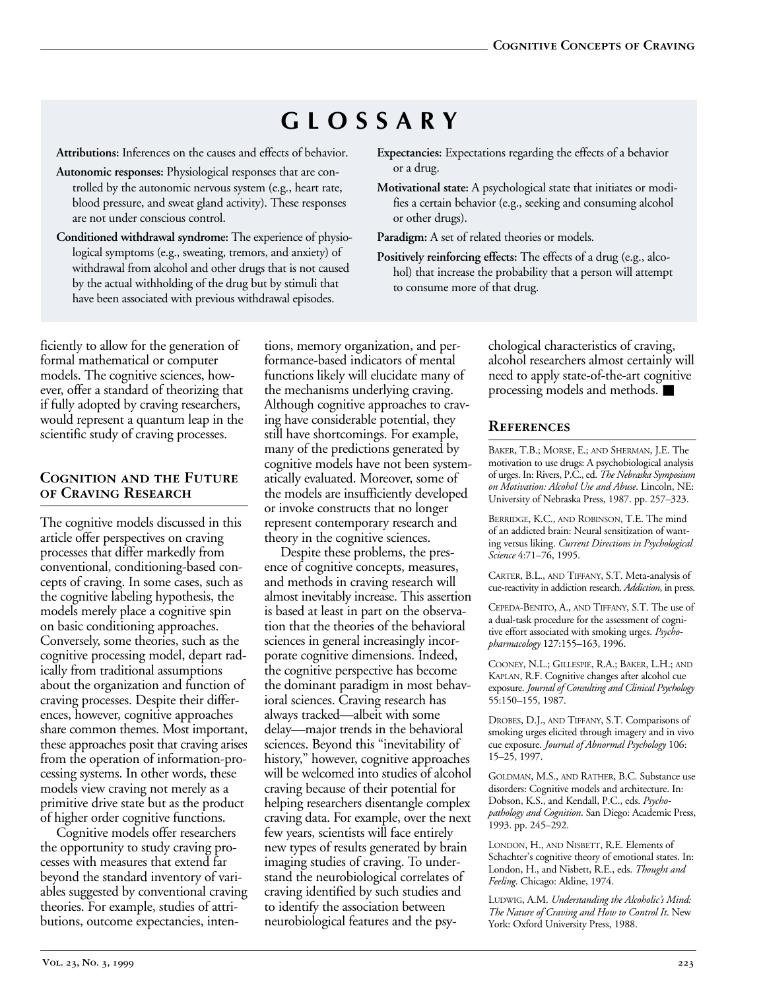# **GLOSSARY**

**Attributions:** Inferences on the causes and effects of behavior.

- **Autonomic responses:** Physiological responses that are controlled by the autonomic nervous system (e.g., heart rate, blood pressure, and sweat gland activity). These responses are not under conscious control.
- **Conditioned withdrawal syndrome:** The experience of physiological symptoms (e.g., sweating, tremors, and anxiety) of withdrawal from alcohol and other drugs that is not caused by the actual withholding of the drug but by stimuli that have been associated with previous withdrawal episodes.
- **Expectancies:** Expectations regarding the effects of a behavior or a drug.
- **Motivational state:** A psychological state that initiates or modifies a certain behavior (e.g., seeking and consuming alcohol or other drugs).

Paradigm: A set of related theories or models.

**Positively reinforcing effects:** The effects of a drug (e.g., alcohol) that increase the probability that a person will attempt to consume more of that drug.

ficiently to allow for the generation of formal mathematical or computer models. The cognitive sciences, however, offer a standard of theorizing that if fully adopted by craving researchers, would represent a quantum leap in the scientific study of craving processes.

#### **Cognition and the Future of Craving Research**

The cognitive models discussed in this article offer perspectives on craving processes that differ markedly from conventional, conditioning-based concepts of craving. In some cases, such as the cognitive labeling hypothesis, the models merely place a cognitive spin on basic conditioning approaches. Conversely, some theories, such as the cognitive processing model, depart radically from traditional assumptions about the organization and function of craving processes. Despite their differences, however, cognitive approaches share common themes. Most important, these approaches posit that craving arises from the operation of information-processing systems. In other words, these models view craving not merely as a primitive drive state but as the product of higher order cognitive functions.

Cognitive models offer researchers the opportunity to study craving processes with measures that extend far beyond the standard inventory of variables suggested by conventional craving theories. For example, studies of attributions, outcome expectancies, intentions, memory organization, and performance-based indicators of mental functions likely will elucidate many of the mechanisms underlying craving. Although cognitive approaches to craving have considerable potential, they still have shortcomings. For example, many of the predictions generated by cognitive models have not been systematically evaluated. Moreover, some of the models are insufficiently developed or invoke constructs that no longer represent contemporary research and theory in the cognitive sciences.

Despite these problems, the presence of cognitive concepts, measures, and methods in craving research will almost inevitably increase. This assertion is based at least in part on the observation that the theories of the behavioral sciences in general increasingly incorporate cognitive dimensions. Indeed, the cognitive perspective has become the dominant paradigm in most behavioral sciences. Craving research has always tracked—albeit with some delay—major trends in the behavioral sciences. Beyond this "inevitability of history," however, cognitive approaches will be welcomed into studies of alcohol craving because of their potential for helping researchers disentangle complex craving data. For example, over the next few years, scientists will face entirely new types of results generated by brain imaging studies of craving. To understand the neurobiological correlates of craving identified by such studies and to identify the association between neurobiological features and the psy-

chological characteristics of craving, alcohol researchers almost certainly will need to apply state-of-the-art cognitive processing models and methods. ■

#### **References**

BAKER, T.B.; MORSE, E.; AND SHERMAN, J.E. The motivation to use drugs: A psychobiological analysis of urges. In: Rivers, P.C., ed. *The Nebraska Symposium on Motivation: Alcohol Use and Abuse*. Lincoln, NE: University of Nebraska Press, 1987. pp. 257–323.

BERRIDGE, K.C., AND ROBINSON, T.E. The mind of an addicted brain: Neural sensitization of wanting versus liking. *Current Directions in Psychological Science* 4:71–76, 1995.

CARTER, B.L., AND TIFFANY, S.T. Meta-analysis of cue-reactivity in addiction research. *Addiction*, in press.

CEPEDA-BENITO, A., AND TIFFANY, S.T. The use of a dual-task procedure for the assessment of cognitive effort associated with smoking urges. *Psychopharmacology* 127:155–163, 1996.

COONEY, N.L.; GILLESPIE, R.A.; BAKER, L.H.; AND KAPLAN, R.F. Cognitive changes after alcohol cue exposure. *Journal of Consulting and Clinical Psychology* 55:150–155, 1987.

DROBES, D.J., AND TIFFANY, S.T. Comparisons of smoking urges elicited through imagery and in vivo cue exposure. *Journal of Abnormal Psychology* 106: 15–25, 1997.

GOLDMAN, M.S., AND RATHER, B.C. Substance use disorders: Cognitive models and architecture. In: Dobson, K.S., and Kendall, P.C., eds. *Psychopathology and Cognition*. San Diego: Academic Press, 1993. pp. 245–292.

LONDON, H., AND NISBETT, R.E. Elements of Schachter's cognitive theory of emotional states. In: London, H., and Nisbett, R.E., eds. *Thought and Feeling*. Chicago: Aldine, 1974.

LUDWIG, A.M. *Understanding the Alcoholic's Mind: The Nature of Craving and How to Control It*. New York: Oxford University Press, 1988.